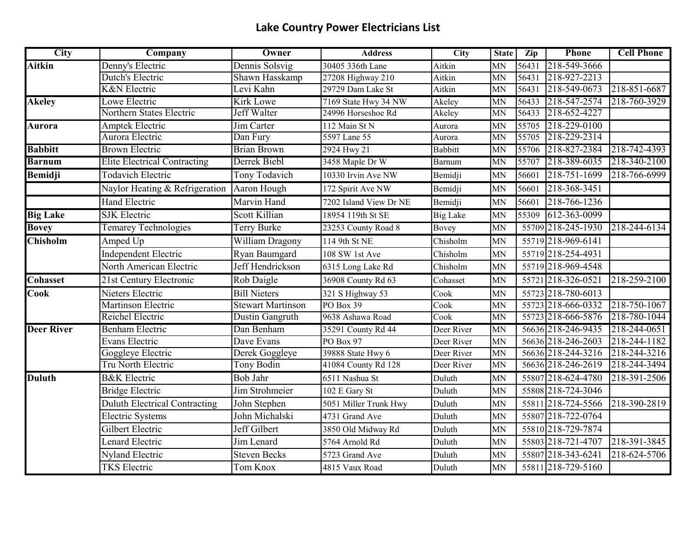## **Lake Country Power Electricians List**

| <b>City</b>       | Company                             | Owner                    | <b>Address</b>         | <b>City</b>     | <b>State</b> | Zip   | Phone              | <b>Cell Phone</b> |
|-------------------|-------------------------------------|--------------------------|------------------------|-----------------|--------------|-------|--------------------|-------------------|
| <b>Aitkin</b>     | Denny's Electric                    | Dennis Solsvig           | 30405 336th Lane       | Aitkin          | MN           | 56431 | 218-549-3666       |                   |
|                   | Dutch's Electric                    | Shawn Hasskamp           | 27208 Highway 210      | Aitkin          | MN           | 56431 | 218-927-2213       |                   |
|                   | <b>K&amp;N</b> Electric             | Levi Kahn                | 29729 Dam Lake St      | Aitkin          | MN           | 56431 | 218-549-0673       | 218-851-6687      |
| <b>Akeley</b>     | Lowe Electric                       | <b>Kirk Lowe</b>         | 7169 State Hwy 34 NW   | Akeley          | MN           | 56433 | 218-547-2574       | 218-760-3929      |
|                   | Northern States Electric            | <b>Jeff Walter</b>       | 24996 Horseshoe Rd     | Akeley          | MN           | 56433 | 218-652-4227       |                   |
| <b>Aurora</b>     | <b>Amptek Electric</b>              | Jim Carter               | 112 Main St N          | Aurora          | <b>MN</b>    |       | 55705 218-229-0100 |                   |
|                   | Aurora Electric                     | Dan Fury                 | 5597 Lane 55           | Aurora          | MN           | 55705 | 218-229-2314       |                   |
| <b>Babbitt</b>    | <b>Brown Electric</b>               | <b>Brian Brown</b>       | 2924 Hwy 21            | <b>Babbitt</b>  | MN           |       | 55706 218-827-2384 | 218-742-4393      |
| <b>Barnum</b>     | <b>Elite Electrical Contracting</b> | Derrek Biebl             | 3458 Maple Dr W        | Barnum          | MN           |       | 55707 218-389-6035 | 218-340-2100      |
| Bemidji           | Todavich Electric                   | Tony Todavich            | 10330 Irvin Ave NW     | Bemidji         | <b>MN</b>    | 56601 | 218-751-1699       | 218-766-6999      |
|                   | Naylor Heating & Refrigeration      | Aaron Hough              | 172 Spirit Ave NW      | Bemidji         | <b>MN</b>    | 56601 | 218-368-3451       |                   |
|                   | <b>Hand Electric</b>                | Marvin Hand              | 7202 Island View Dr NE | Bemidji         | <b>MN</b>    | 56601 | 218-766-1236       |                   |
| <b>Big Lake</b>   | <b>SJK</b> Electric                 | Scott Killian            | 18954 119th St SE      | <b>Big Lake</b> | <b>MN</b>    | 55309 | 612-363-0099       |                   |
| <b>Bovey</b>      | <b>Temarey Technologies</b>         | Terry Burke              | 23253 County Road 8    | Bovey           | MN           |       | 55709 218-245-1930 | 218-244-6134      |
| <b>Chisholm</b>   | Amped Up                            | William Dragony          | 114 9th St NE          | Chisholm        | MN           |       | 55719 218-969-6141 |                   |
|                   | Independent Electric                | Ryan Baumgard            | 108 SW 1st Ave         | Chisholm        | MN           |       | 55719 218-254-4931 |                   |
|                   | North American Electric             | Jeff Hendrickson         | 6315 Long Lake Rd      | Chisholm        | MN           |       | 55719 218-969-4548 |                   |
| <b>Cohasset</b>   | 21st Century Electronic             | Rob Daigle               | 36908 County Rd 63     | Cohasset        | <b>MN</b>    |       | 55721 218-326-0521 | 218-259-2100      |
| <b>Cook</b>       | Nieters Electric                    | <b>Bill Nieters</b>      | 321 S Highway 53       | Cook            | MN           |       | 55723 218-780-6013 |                   |
|                   | Martinson Electric                  | <b>Stewart Martinson</b> | PO Box 39              | Cook            | MN           |       | 55723 218-666-0332 | 218-750-1067      |
|                   | Reichel Electric                    | Dustin Gangruth          | 9638 Ashawa Road       | Cook            | MN           |       | 55723 218-666-5876 | 218-780-1044      |
| <b>Deer River</b> | <b>Benham Electric</b>              | Dan Benham               | 35291 County Rd 44     | Deer River      | MN           |       | 56636 218-246-9435 | 218-244-0651      |
|                   | Evans Electric                      | Dave Evans               | PO Box 97              | Deer River      | MN           |       | 56636 218-246-2603 | 218-244-1182      |
|                   | <b>Goggleye Electric</b>            | Derek Goggleye           | 39888 State Hwy 6      | Deer River      | <b>MN</b>    |       | 56636 218-244-3216 | 218-244-3216      |
|                   | <b>Tru North Electric</b>           | <b>Tony Bodin</b>        | 41084 County Rd 128    | Deer River      | MN           |       | 56636 218-246-2619 | 218-244-3494      |
| <b>Duluth</b>     | <b>B&amp;K</b> Electric             | Bob Jahr                 | 6511 Nashua St         | Duluth          | <b>MN</b>    |       | 55807 218-624-4780 | 218-391-2506      |
|                   | <b>Bridge Electric</b>              | Jim Strohmeier           | 102 E Gary St          | Duluth          | MN           |       | 55808 218-724-3046 |                   |
|                   | Duluth Electrical Contracting       | John Stephen             | 5051 Miller Trunk Hwy  | Duluth          | <b>MN</b>    |       | 55811 218-724-5566 | 218-390-2819      |
|                   | <b>Electric Systems</b>             | John Michalski           | 4731 Grand Ave         | Duluth          | <b>MN</b>    |       | 55807 218-722-0764 |                   |
|                   | Gilbert Electric                    | Jeff Gilbert             | 3850 Old Midway Rd     | Duluth          | <b>MN</b>    |       | 55810 218-729-7874 |                   |
|                   | Lenard Electric                     | Jim Lenard               | 5764 Arnold Rd         | Duluth          | MN           |       | 55803 218-721-4707 | 218-391-3845      |
|                   | <b>Nyland Electric</b>              | <b>Steven Becks</b>      | 5723 Grand Ave         | Duluth          | <b>MN</b>    |       | 55807 218-343-6241 | 218-624-5706      |
|                   | <b>TKS</b> Electric                 | <b>Tom Knox</b>          | 4815 Vaux Road         | Duluth          | MN           |       | 55811 218-729-5160 |                   |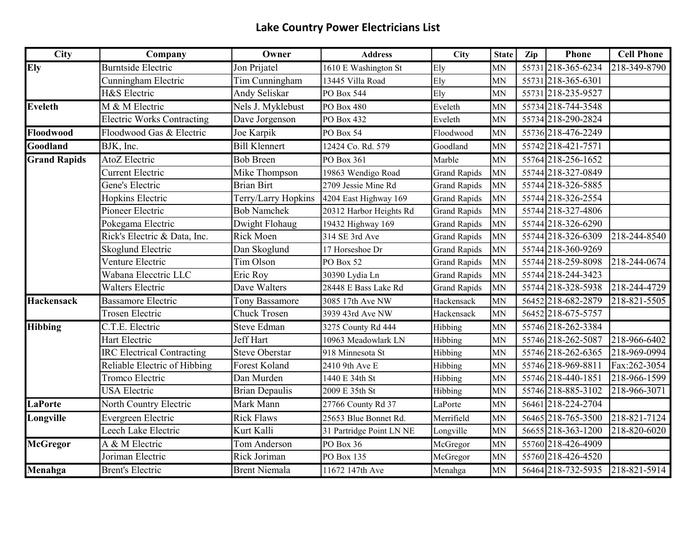## **Lake Country Power Electricians List**

| <b>City</b>         | Company                           | Owner                 | <b>Address</b>           | <b>City</b>         | <b>State</b> | Zip | Phone              | <b>Cell Phone</b> |
|---------------------|-----------------------------------|-----------------------|--------------------------|---------------------|--------------|-----|--------------------|-------------------|
| Ely                 | <b>Burntside Electric</b>         | Jon Prijatel          | 1610 E Washington St     | Ely                 | <b>MN</b>    |     | 55731 218-365-6234 | 218-349-8790      |
|                     | Cunningham Electric               | Tim Cunningham        | 13445 Villa Road         | Ely                 | <b>MN</b>    |     | 55731 218-365-6301 |                   |
|                     | H&S Electric                      | Andy Seliskar         | PO Box 544               | Ely                 | MN           |     | 55731 218-235-9527 |                   |
| <b>Eveleth</b>      | M & M Electric                    | Nels J. Myklebust     | PO Box 480               | Eveleth             | MN           |     | 55734 218-744-3548 |                   |
|                     | <b>Electric Works Contracting</b> | Dave Jorgenson        | PO Box 432               | Eveleth             | <b>MN</b>    |     | 55734 218-290-2824 |                   |
| Floodwood           | Floodwood Gas & Electric          | Joe Karpik            | PO Box 54                | Floodwood           | <b>MN</b>    |     | 55736 218-476-2249 |                   |
| Goodland            | BJK, Inc.                         | <b>Bill Klennert</b>  | 12424 Co. Rd. 579        | Goodland            | MN           |     | 55742 218-421-7571 |                   |
| <b>Grand Rapids</b> | AtoZ Electric                     | <b>Bob Breen</b>      | PO Box 361               | Marble              | <b>MN</b>    |     | 55764 218-256-1652 |                   |
|                     | <b>Current Electric</b>           | Mike Thompson         | 19863 Wendigo Road       | <b>Grand Rapids</b> | <b>MN</b>    |     | 55744 218-327-0849 |                   |
|                     | Gene's Electric                   | <b>Brian Birt</b>     | 2709 Jessie Mine Rd      | <b>Grand Rapids</b> | <b>MN</b>    |     | 55744 218-326-5885 |                   |
|                     | Hopkins Electric                  | Terry/Larry Hopkins   | 4204 East Highway 169    | <b>Grand Rapids</b> | MN           |     | 55744 218-326-2554 |                   |
|                     | Pioneer Electric                  | <b>Bob Namchek</b>    | 20312 Harbor Heights Rd  | <b>Grand Rapids</b> | <b>MN</b>    |     | 55744 218-327-4806 |                   |
|                     | Pokegama Electric                 | Dwight Flohaug        | 19432 Highway 169        | <b>Grand Rapids</b> | <b>MN</b>    |     | 55744 218-326-6290 |                   |
|                     | Rick's Electric & Data, Inc.      | Rick Moen             | 314 SE 3rd Ave           | <b>Grand Rapids</b> | <b>MN</b>    |     | 55744 218-326-6309 | 218-244-8540      |
|                     | Skoglund Electric                 | Dan Skoglund          | 17 Horseshoe Dr          | <b>Grand Rapids</b> | <b>MN</b>    |     | 55744 218-360-9269 |                   |
|                     | Venture Electric                  | Tim Olson             | PO Box 52                | <b>Grand Rapids</b> | <b>MN</b>    |     | 55744 218-259-8098 | 218-244-0674      |
|                     | Wabana Elecctric LLC              | Eric Roy              | 30390 Lydia Ln           | <b>Grand Rapids</b> | <b>MN</b>    |     | 55744 218-244-3423 |                   |
|                     | <b>Walters Electric</b>           | Dave Walters          | 28448 E Bass Lake Rd     | <b>Grand Rapids</b> | <b>MN</b>    |     | 55744 218-328-5938 | 218-244-4729      |
| <b>Hackensack</b>   | <b>Bassamore Electric</b>         | Tony Bassamore        | 3085 17th Ave NW         | Hackensack          | MN           |     | 56452 218-682-2879 | 218-821-5505      |
|                     | <b>Trosen Electric</b>            | <b>Chuck Trosen</b>   | 3939 43rd Ave NW         | Hackensack          | MN           |     | 56452 218-675-5757 |                   |
| <b>Hibbing</b>      | C.T.E. Electric                   | <b>Steve Edman</b>    | 3275 County Rd 444       | Hibbing             | <b>MN</b>    |     | 55746 218-262-3384 |                   |
|                     | Hart Electric                     | Jeff Hart             | 10963 Meadowlark LN      | Hibbing             | <b>MN</b>    |     | 55746 218-262-5087 | 218-966-6402      |
|                     | <b>IRC Electrical Contracting</b> | <b>Steve Oberstar</b> | 918 Minnesota St         | Hibbing             | <b>MN</b>    |     | 55746 218-262-6365 | 218-969-0994      |
|                     | Reliable Electric of Hibbing      | Forest Koland         | 2410 9th Ave E           | Hibbing             | <b>MN</b>    |     | 55746 218-969-8811 | Fax:262-3054      |
|                     | Tromco Electric                   | Dan Murden            | 1440 E 34th St           | Hibbing             | <b>MN</b>    |     | 55746 218-440-1851 | 218-966-1599      |
|                     | <b>USA Electric</b>               | <b>Brian Depaulis</b> | 2009 E 35th St           | Hibbing             | <b>MN</b>    |     | 55746 218-885-3102 | 218-966-3071      |
| <b>LaPorte</b>      | North Country Electric            | Mark Mann             | 27766 County Rd 37       | LaPorte             | <b>MN</b>    |     | 56461 218-224-2704 |                   |
| Longville           | Evergreen Electric                | <b>Rick Flaws</b>     | 25653 Blue Bonnet Rd.    | Merrifield          | MN           |     | 56465 218-765-3500 | 218-821-7124      |
|                     | Leech Lake Electric               | Kurt Kalli            | 31 Partridge Point LN NE | Longville           | <b>MN</b>    |     | 56655 218-363-1200 | 218-820-6020      |
| <b>McGregor</b>     | A & M Electric                    | Tom Anderson          | PO Box 36                | McGregor            | <b>MN</b>    |     | 55760 218-426-4909 |                   |
|                     | Joriman Electric                  | Rick Joriman          | PO Box 135               | McGregor            | MN           |     | 55760 218-426-4520 |                   |
| Menahga             | <b>Brent's Electric</b>           | <b>Brent Niemala</b>  | 11672 147th Ave          | Menahga             | <b>MN</b>    |     | 56464 218-732-5935 | 218-821-5914      |